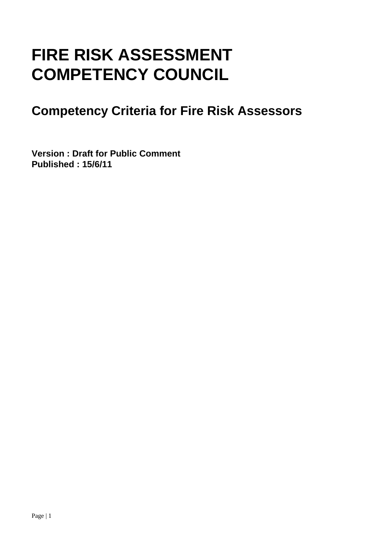# **FIRE RISK ASSESSMENT COMPETENCY COUNCIL**

# **Competency Criteria for Fire Risk Assessors**

**Version : Draft for Public Comment Published : 15/6/11**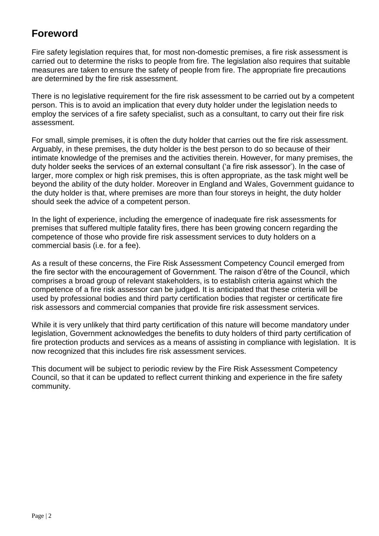# **Foreword**

Fire safety legislation requires that, for most non-domestic premises, a fire risk assessment is carried out to determine the risks to people from fire. The legislation also requires that suitable measures are taken to ensure the safety of people from fire. The appropriate fire precautions are determined by the fire risk assessment.

There is no legislative requirement for the fire risk assessment to be carried out by a competent person. This is to avoid an implication that every duty holder under the legislation needs to employ the services of a fire safety specialist, such as a consultant, to carry out their fire risk assessment.

For small, simple premises, it is often the duty holder that carries out the fire risk assessment. Arguably, in these premises, the duty holder is the best person to do so because of their intimate knowledge of the premises and the activities therein. However, for many premises, the duty holder seeks the services of an external consultant ('a fire risk assessor'). In the case of larger, more complex or high risk premises, this is often appropriate, as the task might well be beyond the ability of the duty holder. Moreover in England and Wales, Government guidance to the duty holder is that, where premises are more than four storeys in height, the duty holder should seek the advice of a competent person.

In the light of experience, including the emergence of inadequate fire risk assessments for premises that suffered multiple fatality fires, there has been growing concern regarding the competence of those who provide fire risk assessment services to duty holders on a commercial basis (i.e. for a fee).

As a result of these concerns, the Fire Risk Assessment Competency Council emerged from the fire sector with the encouragement of Government. The raison d'être of the Council, which comprises a broad group of relevant stakeholders, is to establish criteria against which the competence of a fire risk assessor can be judged. It is anticipated that these criteria will be used by professional bodies and third party certification bodies that register or certificate fire risk assessors and commercial companies that provide fire risk assessment services.

While it is very unlikely that third party certification of this nature will become mandatory under legislation, Government acknowledges the benefits to duty holders of third party certification of fire protection products and services as a means of assisting in compliance with legislation. It is now recognized that this includes fire risk assessment services.

This document will be subject to periodic review by the Fire Risk Assessment Competency Council, so that it can be updated to reflect current thinking and experience in the fire safety community.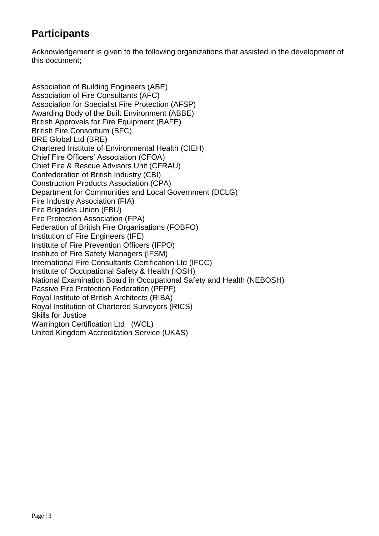## **Participants**

Acknowledgement is given to the following organizations that assisted in the development of this document;

Association of Building Engineers (ABE) Association of Fire Consultants (AFC) Association for Specialist Fire Protection (AFSP) Awarding Body of the Built Environment (ABBE) British Approvals for Fire Equipment (BAFE) British Fire Consortium (BFC) BRE Global Ltd (BRE) Chartered Institute of Environmental Health (CIEH) Chief Fire Officers' Association (CFOA) Chief Fire & Rescue Advisors Unit (CFRAU) Confederation of British Industry (CBI) Construction Products Association (CPA) Department for Communities and Local Government (DCLG) Fire Industry Association (FIA) Fire Brigades Union (FBU) Fire Protection Association (FPA) Federation of British Fire Organisations (FOBFO) Institution of Fire Engineers (IFE) Institute of Fire Prevention Officers (IFPO) Institute of Fire Safety Managers (IFSM) International Fire Consultants Certification Ltd (IFCC) Institute of Occupational Safety & Health (IOSH) National Examination Board in Occupational Safety and Health (NEBOSH) Passive Fire Protection Federation (PFPF) Royal Institute of British Architects (RIBA) Royal Institution of Chartered Surveyors (RICS) Skills for Justice Warrington Certification Ltd (WCL) United Kingdom Accreditation Service (UKAS)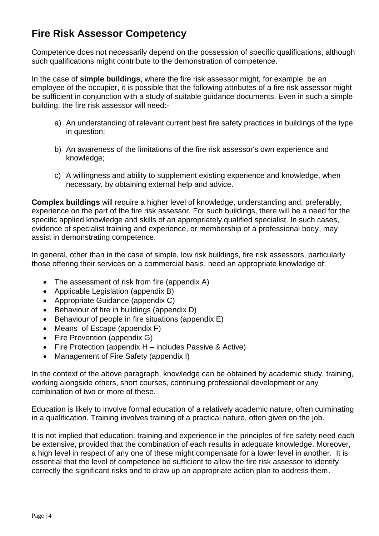## **Fire Risk Assessor Competency**

Competence does not necessarily depend on the possession of specific qualifications, although such qualifications might contribute to the demonstration of competence.

In the case of **simple buildings**, where the fire risk assessor might, for example, be an employee of the occupier, it is possible that the following attributes of a fire risk assessor might be sufficient in conjunction with a study of suitable guidance documents. Even in such a simple building, the fire risk assessor will need:-

- a) An understanding of relevant current best fire safety practices in buildings of the type in question;
- b) An awareness of the limitations of the fire risk assessor's own experience and knowledge;
- c) A willingness and ability to supplement existing experience and knowledge, when necessary, by obtaining external help and advice.

**Complex buildings** will require a higher level of knowledge, understanding and, preferably, experience on the part of the fire risk assessor. For such buildings, there will be a need for the specific applied knowledge and skills of an appropriately qualified specialist. In such cases, evidence of specialist training and experience, or membership of a professional body, may assist in demonstrating competence.

In general, other than in the case of simple, low risk buildings, fire risk assessors, particularly those offering their services on a commercial basis, need an appropriate knowledge of:

- The assessment of risk from fire (appendix A)
- Applicable Legislation (appendix B)
- Appropriate Guidance (appendix C)
- Behaviour of fire in buildings (appendix D)
- Behaviour of people in fire situations (appendix E)
- Means of Escape (appendix F)
- Fire Prevention (appendix G)
- Fire Protection (appendix H includes Passive & Active)
- Management of Fire Safety (appendix I)

In the context of the above paragraph, knowledge can be obtained by academic study, training, working alongside others, short courses, continuing professional development or any combination of two or more of these.

Education is likely to involve formal education of a relatively academic nature, often culminating in a qualification. Training involves training of a practical nature, often given on the job.

It is not implied that education, training and experience in the principles of fire safety need each be extensive, provided that the combination of each results in adequate knowledge. Moreover, a high level in respect of any one of these might compensate for a lower level in another. It is essential that the level of competence be sufficient to allow the fire risk assessor to identify correctly the significant risks and to draw up an appropriate action plan to address them.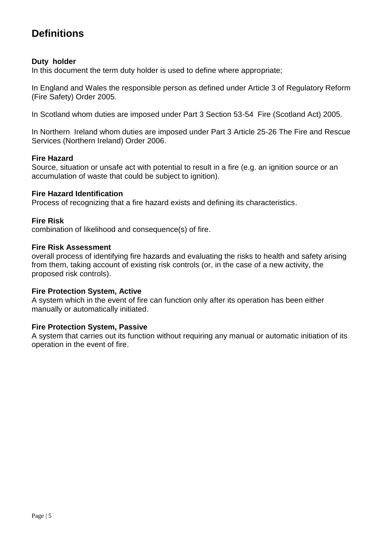## **Definitions**

#### **Duty holder**

In this document the term duty holder is used to define where appropriate;

In England and Wales the responsible person as defined under Article 3 of Regulatory Reform (Fire Safety) Order 2005.

In Scotland whom duties are imposed under Part 3 Section 53-54 Fire (Scotland Act) 2005.

In Northern Ireland whom duties are imposed under Part 3 Article 25-26 The Fire and Rescue Services (Northern Ireland) Order 2006.

#### **Fire Hazard**

Source, situation or unsafe act with potential to result in a fire (e.g. an ignition source or an accumulation of waste that could be subject to ignition).

#### **Fire Hazard Identification**

Process of recognizing that a fire hazard exists and defining its characteristics.

#### **Fire Risk**

combination of likelihood and consequence(s) of fire.

#### **Fire Risk Assessment**

overall process of identifying fire hazards and evaluating the risks to health and safety arising from them, taking account of existing risk controls (or, in the case of a new activity, the proposed risk controls).

#### **Fire Protection System, Active**

A system which in the event of fire can function only after its operation has been either manually or automatically initiated.

#### **Fire Protection System, Passive**

A system that carries out its function without requiring any manual or automatic initiation of its operation in the event of fire.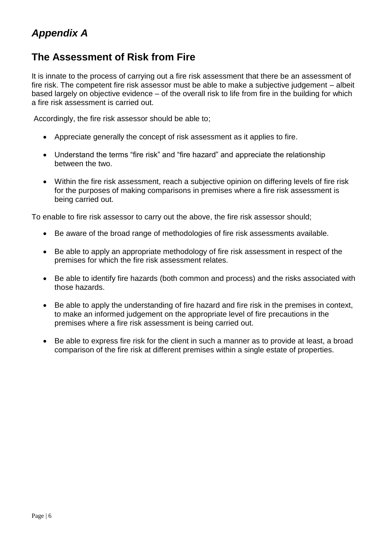## *Appendix A*

### **The Assessment of Risk from Fire**

It is innate to the process of carrying out a fire risk assessment that there be an assessment of fire risk. The competent fire risk assessor must be able to make a subjective judgement – albeit based largely on objective evidence – of the overall risk to life from fire in the building for which a fire risk assessment is carried out.

Accordingly, the fire risk assessor should be able to;

- Appreciate generally the concept of risk assessment as it applies to fire.
- Understand the terms "fire risk" and "fire hazard" and appreciate the relationship between the two.
- Within the fire risk assessment, reach a subjective opinion on differing levels of fire risk for the purposes of making comparisons in premises where a fire risk assessment is being carried out.

- Be aware of the broad range of methodologies of fire risk assessments available.
- Be able to apply an appropriate methodology of fire risk assessment in respect of the premises for which the fire risk assessment relates.
- Be able to identify fire hazards (both common and process) and the risks associated with those hazards.
- Be able to apply the understanding of fire hazard and fire risk in the premises in context, to make an informed judgement on the appropriate level of fire precautions in the premises where a fire risk assessment is being carried out.
- Be able to express fire risk for the client in such a manner as to provide at least, a broad comparison of the fire risk at different premises within a single estate of properties.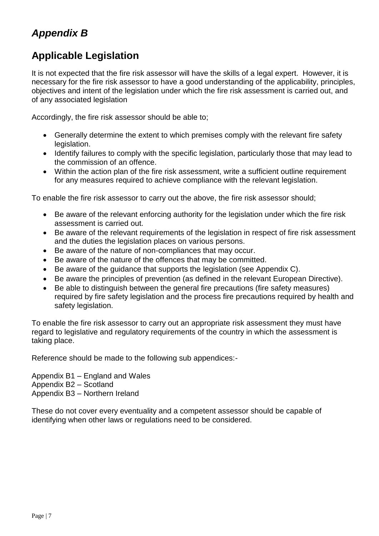# *Appendix B*

## **Applicable Legislation**

It is not expected that the fire risk assessor will have the skills of a legal expert. However, it is necessary for the fire risk assessor to have a good understanding of the applicability, principles, objectives and intent of the legislation under which the fire risk assessment is carried out, and of any associated legislation

Accordingly, the fire risk assessor should be able to;

- Generally determine the extent to which premises comply with the relevant fire safety legislation.
- Identify failures to comply with the specific legislation, particularly those that may lead to the commission of an offence.
- Within the action plan of the fire risk assessment, write a sufficient outline requirement for any measures required to achieve compliance with the relevant legislation.

To enable the fire risk assessor to carry out the above, the fire risk assessor should;

- Be aware of the relevant enforcing authority for the legislation under which the fire risk assessment is carried out.
- Be aware of the relevant requirements of the legislation in respect of fire risk assessment and the duties the legislation places on various persons.
- Be aware of the nature of non-compliances that may occur.
- Be aware of the nature of the offences that may be committed.
- Be aware of the guidance that supports the legislation (see Appendix C).
- Be aware the principles of prevention (as defined in the relevant European Directive).
- Be able to distinguish between the general fire precautions (fire safety measures) required by fire safety legislation and the process fire precautions required by health and safety legislation.

To enable the fire risk assessor to carry out an appropriate risk assessment they must have regard to legislative and regulatory requirements of the country in which the assessment is taking place.

Reference should be made to the following sub appendices:-

Appendix B1 – England and Wales Appendix B2 – Scotland Appendix B3 – Northern Ireland

These do not cover every eventuality and a competent assessor should be capable of identifying when other laws or regulations need to be considered.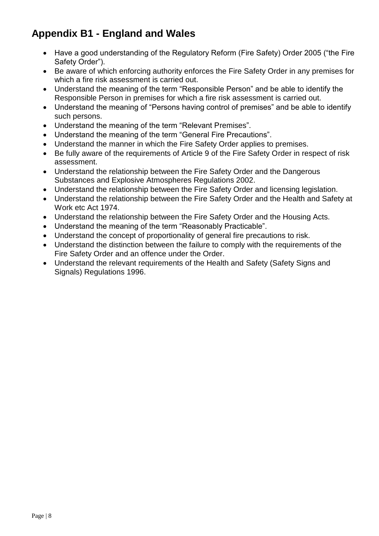# **Appendix B1 - England and Wales**

- Have a good understanding of the Regulatory Reform (Fire Safety) Order 2005 ("the Fire Safety Order").
- Be aware of which enforcing authority enforces the Fire Safety Order in any premises for which a fire risk assessment is carried out.
- Understand the meaning of the term "Responsible Person" and be able to identify the Responsible Person in premises for which a fire risk assessment is carried out.
- Understand the meaning of "Persons having control of premises" and be able to identify such persons.
- Understand the meaning of the term "Relevant Premises".
- Understand the meaning of the term "General Fire Precautions".
- Understand the manner in which the Fire Safety Order applies to premises.
- Be fully aware of the requirements of Article 9 of the Fire Safety Order in respect of risk assessment.
- Understand the relationship between the Fire Safety Order and the Dangerous Substances and Explosive Atmospheres Regulations 2002.
- Understand the relationship between the Fire Safety Order and licensing legislation.
- Understand the relationship between the Fire Safety Order and the Health and Safety at Work etc Act 1974.
- Understand the relationship between the Fire Safety Order and the Housing Acts.
- Understand the meaning of the term "Reasonably Practicable".
- Understand the concept of proportionality of general fire precautions to risk.
- Understand the distinction between the failure to comply with the requirements of the Fire Safety Order and an offence under the Order.
- Understand the relevant requirements of the Health and Safety (Safety Signs and Signals) Regulations 1996.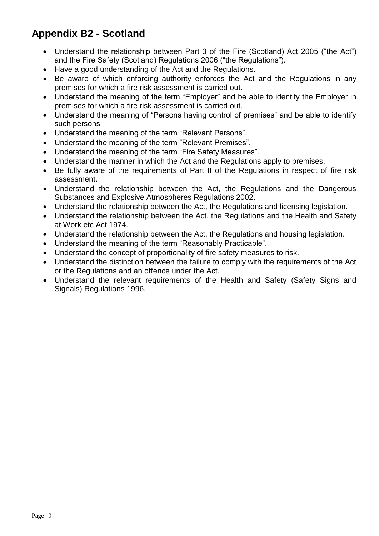# **Appendix B2 - Scotland**

- Understand the relationship between Part 3 of the Fire (Scotland) Act 2005 ("the Act") and the Fire Safety (Scotland) Regulations 2006 ("the Regulations").
- Have a good understanding of the Act and the Regulations.
- Be aware of which enforcing authority enforces the Act and the Regulations in any premises for which a fire risk assessment is carried out.
- Understand the meaning of the term "Employer" and be able to identify the Employer in premises for which a fire risk assessment is carried out.
- Understand the meaning of "Persons having control of premises" and be able to identify such persons.
- Understand the meaning of the term "Relevant Persons".
- Understand the meaning of the term "Relevant Premises".
- Understand the meaning of the term "Fire Safety Measures".
- Understand the manner in which the Act and the Regulations apply to premises.
- Be fully aware of the requirements of Part II of the Regulations in respect of fire risk assessment.
- Understand the relationship between the Act, the Regulations and the Dangerous Substances and Explosive Atmospheres Regulations 2002.
- Understand the relationship between the Act, the Regulations and licensing legislation.
- Understand the relationship between the Act, the Regulations and the Health and Safety at Work etc Act 1974.
- Understand the relationship between the Act, the Regulations and housing legislation.
- Understand the meaning of the term "Reasonably Practicable".
- Understand the concept of proportionality of fire safety measures to risk.
- Understand the distinction between the failure to comply with the requirements of the Act or the Regulations and an offence under the Act.
- Understand the relevant requirements of the Health and Safety (Safety Signs and Signals) Regulations 1996.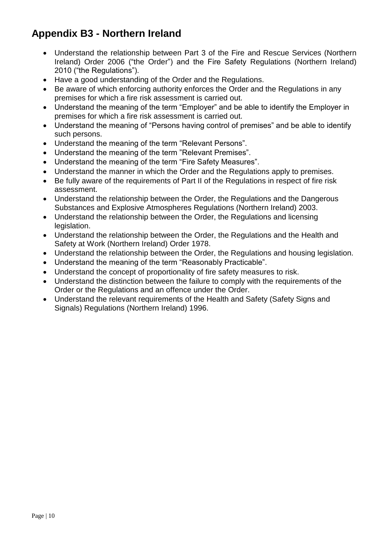# **Appendix B3 - Northern Ireland**

- Understand the relationship between Part 3 of the Fire and Rescue Services (Northern Ireland) Order 2006 ("the Order") and the Fire Safety Regulations (Northern Ireland) 2010 ("the Regulations").
- Have a good understanding of the Order and the Regulations.
- Be aware of which enforcing authority enforces the Order and the Regulations in any premises for which a fire risk assessment is carried out.
- Understand the meaning of the term "Employer" and be able to identify the Employer in premises for which a fire risk assessment is carried out.
- Understand the meaning of "Persons having control of premises" and be able to identify such persons.
- Understand the meaning of the term "Relevant Persons".
- Understand the meaning of the term "Relevant Premises".
- Understand the meaning of the term "Fire Safety Measures".
- Understand the manner in which the Order and the Regulations apply to premises.
- Be fully aware of the requirements of Part II of the Regulations in respect of fire risk assessment.
- Understand the relationship between the Order, the Regulations and the Dangerous Substances and Explosive Atmospheres Regulations (Northern Ireland) 2003.
- Understand the relationship between the Order, the Regulations and licensing legislation.
- Understand the relationship between the Order, the Regulations and the Health and Safety at Work (Northern Ireland) Order 1978.
- Understand the relationship between the Order, the Regulations and housing legislation.
- Understand the meaning of the term "Reasonably Practicable".
- Understand the concept of proportionality of fire safety measures to risk.
- Understand the distinction between the failure to comply with the requirements of the Order or the Regulations and an offence under the Order.
- Understand the relevant requirements of the Health and Safety (Safety Signs and Signals) Regulations (Northern Ireland) 1996.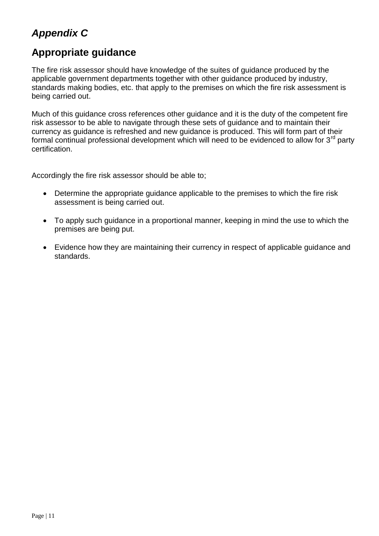# *Appendix C*

### **Appropriate guidance**

The fire risk assessor should have knowledge of the suites of guidance produced by the applicable government departments together with other guidance produced by industry, standards making bodies, etc. that apply to the premises on which the fire risk assessment is being carried out.

Much of this guidance cross references other guidance and it is the duty of the competent fire risk assessor to be able to navigate through these sets of guidance and to maintain their currency as guidance is refreshed and new guidance is produced. This will form part of their formal continual professional development which will need to be evidenced to allow for  $3<sup>rd</sup>$  party certification.

Accordingly the fire risk assessor should be able to;

- Determine the appropriate guidance applicable to the premises to which the fire risk assessment is being carried out.
- To apply such guidance in a proportional manner, keeping in mind the use to which the premises are being put.
- Evidence how they are maintaining their currency in respect of applicable guidance and standards.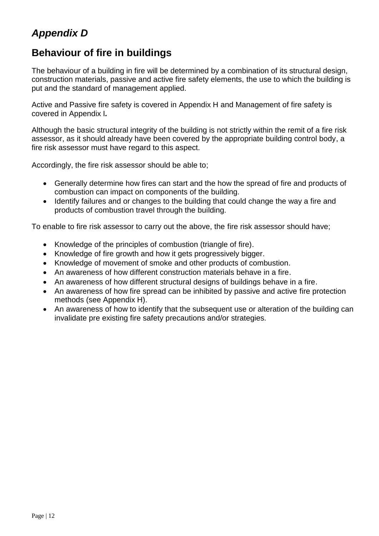# *Appendix D*

### **Behaviour of fire in buildings**

The behaviour of a building in fire will be determined by a combination of its structural design, construction materials, passive and active fire safety elements, the use to which the building is put and the standard of management applied.

Active and Passive fire safety is covered in Appendix H and Management of fire safety is covered in Appendix I*.*

Although the basic structural integrity of the building is not strictly within the remit of a fire risk assessor, as it should already have been covered by the appropriate building control body, a fire risk assessor must have regard to this aspect.

Accordingly, the fire risk assessor should be able to;

- Generally determine how fires can start and the how the spread of fire and products of combustion can impact on components of the building.
- Identify failures and or changes to the building that could change the way a fire and products of combustion travel through the building.

- Knowledge of the principles of combustion (triangle of fire).
- Knowledge of fire growth and how it gets progressively bigger.
- Knowledge of movement of smoke and other products of combustion.
- An awareness of how different construction materials behave in a fire.
- An awareness of how different structural designs of buildings behave in a fire.
- An awareness of how fire spread can be inhibited by passive and active fire protection methods (see Appendix H).
- An awareness of how to identify that the subsequent use or alteration of the building can invalidate pre existing fire safety precautions and/or strategies.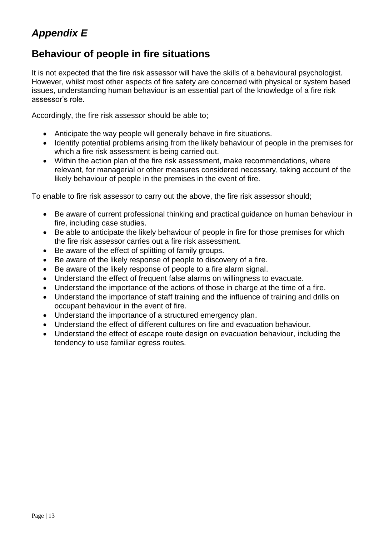# *Appendix E*

### **Behaviour of people in fire situations**

It is not expected that the fire risk assessor will have the skills of a behavioural psychologist. However, whilst most other aspects of fire safety are concerned with physical or system based issues, understanding human behaviour is an essential part of the knowledge of a fire risk assessor's role.

Accordingly, the fire risk assessor should be able to;

- Anticipate the way people will generally behave in fire situations.
- Identify potential problems arising from the likely behaviour of people in the premises for which a fire risk assessment is being carried out.
- Within the action plan of the fire risk assessment, make recommendations, where relevant, for managerial or other measures considered necessary, taking account of the likely behaviour of people in the premises in the event of fire.

- Be aware of current professional thinking and practical guidance on human behaviour in fire, including case studies.
- Be able to anticipate the likely behaviour of people in fire for those premises for which the fire risk assessor carries out a fire risk assessment.
- Be aware of the effect of splitting of family groups.
- Be aware of the likely response of people to discovery of a fire.
- Be aware of the likely response of people to a fire alarm signal.
- Understand the effect of frequent false alarms on willingness to evacuate.
- Understand the importance of the actions of those in charge at the time of a fire.
- Understand the importance of staff training and the influence of training and drills on occupant behaviour in the event of fire.
- Understand the importance of a structured emergency plan.
- Understand the effect of different cultures on fire and evacuation behaviour.
- Understand the effect of escape route design on evacuation behaviour, including the tendency to use familiar egress routes.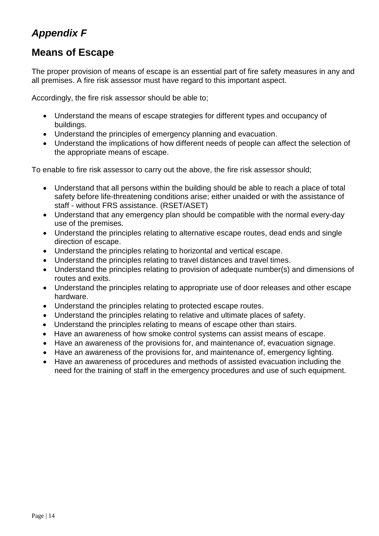# *Appendix F*

### **Means of Escape**

The proper provision of means of escape is an essential part of fire safety measures in any and all premises. A fire risk assessor must have regard to this important aspect.

Accordingly, the fire risk assessor should be able to;

- Understand the means of escape strategies for different types and occupancy of buildings.
- Understand the principles of emergency planning and evacuation.
- Understand the implications of how different needs of people can affect the selection of the appropriate means of escape.

- Understand that all persons within the building should be able to reach a place of total safety before life-threatening conditions arise; either unaided or with the assistance of staff - without FRS assistance. (RSET/ASET)
- Understand that any emergency plan should be compatible with the normal every-day use of the premises.
- Understand the principles relating to alternative escape routes, dead ends and single direction of escape.
- Understand the principles relating to horizontal and vertical escape.
- Understand the principles relating to travel distances and travel times.
- Understand the principles relating to provision of adequate number(s) and dimensions of routes and exits.
- Understand the principles relating to appropriate use of door releases and other escape hardware.
- Understand the principles relating to protected escape routes.
- Understand the principles relating to relative and ultimate places of safety.
- Understand the principles relating to means of escape other than stairs.
- Have an awareness of how smoke control systems can assist means of escape.
- Have an awareness of the provisions for, and maintenance of, evacuation signage.
- Have an awareness of the provisions for, and maintenance of, emergency lighting.
- Have an awareness of procedures and methods of assisted evacuation including the need for the training of staff in the emergency procedures and use of such equipment.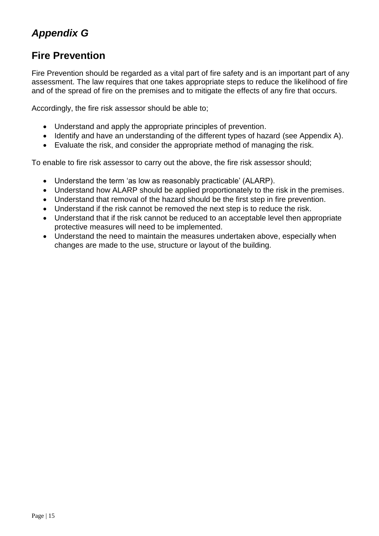# *Appendix G*

### **Fire Prevention**

Fire Prevention should be regarded as a vital part of fire safety and is an important part of any assessment. The law requires that one takes appropriate steps to reduce the likelihood of fire and of the spread of fire on the premises and to mitigate the effects of any fire that occurs.

Accordingly, the fire risk assessor should be able to;

- Understand and apply the appropriate principles of prevention.
- Identify and have an understanding of the different types of hazard (see Appendix A).
- Evaluate the risk, and consider the appropriate method of managing the risk.

- Understand the term 'as low as reasonably practicable' (ALARP).
- Understand how ALARP should be applied proportionately to the risk in the premises.
- Understand that removal of the hazard should be the first step in fire prevention.
- Understand if the risk cannot be removed the next step is to reduce the risk.
- Understand that if the risk cannot be reduced to an acceptable level then appropriate protective measures will need to be implemented.
- Understand the need to maintain the measures undertaken above, especially when changes are made to the use, structure or layout of the building.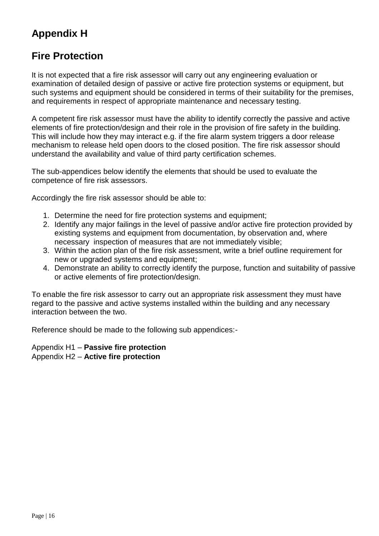# **Appendix H**

### **Fire Protection**

It is not expected that a fire risk assessor will carry out any engineering evaluation or examination of detailed design of passive or active fire protection systems or equipment, but such systems and equipment should be considered in terms of their suitability for the premises, and requirements in respect of appropriate maintenance and necessary testing.

A competent fire risk assessor must have the ability to identify correctly the passive and active elements of fire protection/design and their role in the provision of fire safety in the building. This will include how they may interact e.g. if the fire alarm system triggers a door release mechanism to release held open doors to the closed position. The fire risk assessor should understand the availability and value of third party certification schemes.

The sub-appendices below identify the elements that should be used to evaluate the competence of fire risk assessors.

Accordingly the fire risk assessor should be able to:

- 1. Determine the need for fire protection systems and equipment;
- 2. Identify any major failings in the level of passive and/or active fire protection provided by existing systems and equipment from documentation, by observation and, where necessary inspection of measures that are not immediately visible;
- 3. Within the action plan of the fire risk assessment, write a brief outline requirement for new or upgraded systems and equipment;
- 4. Demonstrate an ability to correctly identify the purpose, function and suitability of passive or active elements of fire protection/design.

To enable the fire risk assessor to carry out an appropriate risk assessment they must have regard to the passive and active systems installed within the building and any necessary interaction between the two.

Reference should be made to the following sub appendices:-

Appendix H1 – **Passive fire protection** Appendix H2 – **Active fire protection**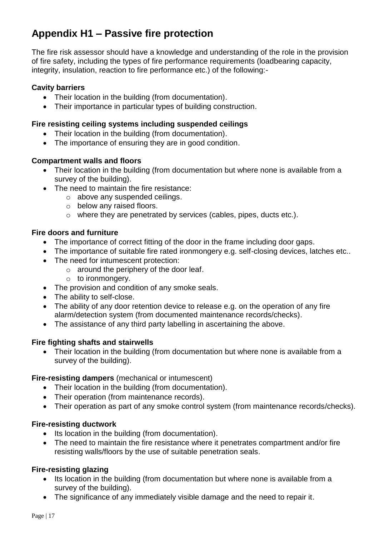# **Appendix H1 – Passive fire protection**

The fire risk assessor should have a knowledge and understanding of the role in the provision of fire safety, including the types of fire performance requirements (loadbearing capacity, integrity, insulation, reaction to fire performance etc.) of the following:-

#### **Cavity barriers**

- Their location in the building (from documentation).
- Their importance in particular types of building construction.

#### **Fire resisting ceiling systems including suspended ceilings**

- Their location in the building (from documentation).
- The importance of ensuring they are in good condition.

#### **Compartment walls and floors**

- Their location in the building (from documentation but where none is available from a survey of the building).
- The need to maintain the fire resistance:
	- o above any suspended ceilings.
	- o below any raised floors.
	- o where they are penetrated by services (cables, pipes, ducts etc.).

#### **Fire doors and furniture**

- The importance of correct fitting of the door in the frame including door gaps.
- The importance of suitable fire rated ironmongery e.g. self-closing devices, latches etc..
- The need for intumescent protection:
	- $\circ$  around the periphery of the door leaf.
	- o to ironmongery.
- The provision and condition of any smoke seals.
- The ability to self-close.
- The ability of any door retention device to release e.g. on the operation of any fire alarm/detection system (from documented maintenance records/checks).
- The assistance of any third party labelling in ascertaining the above.

#### **Fire fighting shafts and stairwells**

• Their location in the building (from documentation but where none is available from a survey of the building).

#### **Fire-resisting dampers** (mechanical or intumescent)

- Their location in the building (from documentation).
- Their operation (from maintenance records).
- Their operation as part of any smoke control system (from maintenance records/checks).

#### **Fire-resisting ductwork**

- Its location in the building (from documentation).
- The need to maintain the fire resistance where it penetrates compartment and/or fire resisting walls/floors by the use of suitable penetration seals.

#### **Fire-resisting glazing**

- Its location in the building (from documentation but where none is available from a survey of the building).
- The significance of any immediately visible damage and the need to repair it.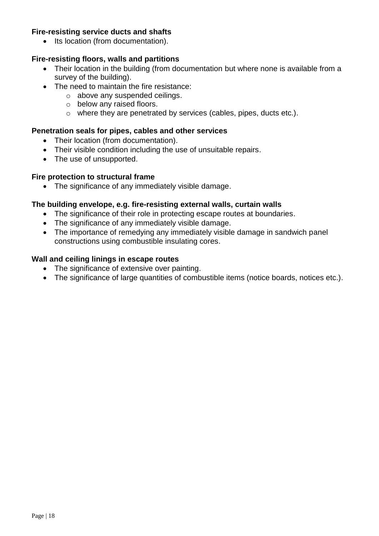#### **Fire-resisting service ducts and shafts**

• Its location (from documentation).

#### **Fire-resisting floors, walls and partitions**

- Their location in the building (from documentation but where none is available from a survey of the building).
- The need to maintain the fire resistance:
	- o above any suspended ceilings.
	- o below any raised floors.
	- o where they are penetrated by services (cables, pipes, ducts etc.).

#### **Penetration seals for pipes, cables and other services**

- Their location (from documentation).
- Their visible condition including the use of unsuitable repairs.
- The use of unsupported.

#### **Fire protection to structural frame**

• The significance of any immediately visible damage.

#### **The building envelope, e.g. fire-resisting external walls, curtain walls**

- The significance of their role in protecting escape routes at boundaries.
- The significance of any immediately visible damage.
- The importance of remedying any immediately visible damage in sandwich panel constructions using combustible insulating cores.

#### **Wall and ceiling linings in escape routes**

- The significance of extensive over painting.
- The significance of large quantities of combustible items (notice boards, notices etc.).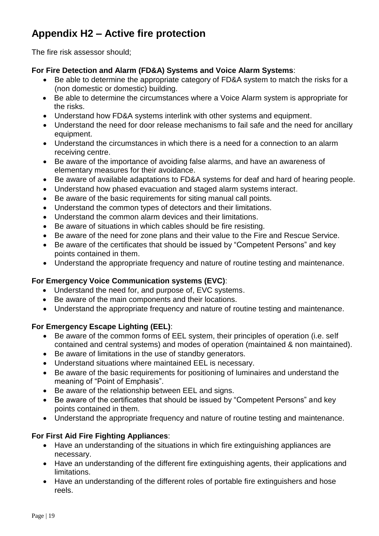# **Appendix H2 – Active fire protection**

The fire risk assessor should;

#### **For Fire Detection and Alarm (FD&A) Systems and Voice Alarm Systems**:

- Be able to determine the appropriate category of FD&A system to match the risks for a (non domestic or domestic) building.
- Be able to determine the circumstances where a Voice Alarm system is appropriate for the risks.
- Understand how FD&A systems interlink with other systems and equipment.
- Understand the need for door release mechanisms to fail safe and the need for ancillary equipment.
- Understand the circumstances in which there is a need for a connection to an alarm receiving centre.
- Be aware of the importance of avoiding false alarms, and have an awareness of elementary measures for their avoidance.
- Be aware of available adaptations to FD&A systems for deaf and hard of hearing people.
- Understand how phased evacuation and staged alarm systems interact.
- Be aware of the basic requirements for siting manual call points.
- Understand the common types of detectors and their limitations.
- Understand the common alarm devices and their limitations.
- Be aware of situations in which cables should be fire resisting.
- Be aware of the need for zone plans and their value to the Fire and Rescue Service.
- Be aware of the certificates that should be issued by "Competent Persons" and key points contained in them.
- Understand the appropriate frequency and nature of routine testing and maintenance.

#### **For Emergency Voice Communication systems (EVC)**:

- Understand the need for, and purpose of, EVC systems,
- Be aware of the main components and their locations.
- Understand the appropriate frequency and nature of routine testing and maintenance.

#### **For Emergency Escape Lighting (EEL)**:

- Be aware of the common forms of EEL system, their principles of operation (i.e. self contained and central systems) and modes of operation (maintained & non maintained).
- Be aware of limitations in the use of standby generators.
- Understand situations where maintained EEL is necessary.
- Be aware of the basic requirements for positioning of luminaires and understand the meaning of "Point of Emphasis".
- Be aware of the relationship between EEL and signs.
- Be aware of the certificates that should be issued by "Competent Persons" and key points contained in them.
- Understand the appropriate frequency and nature of routine testing and maintenance.

#### **For First Aid Fire Fighting Appliances**:

- Have an understanding of the situations in which fire extinguishing appliances are necessary.
- Have an understanding of the different fire extinguishing agents, their applications and limitations.
- Have an understanding of the different roles of portable fire extinguishers and hose reels.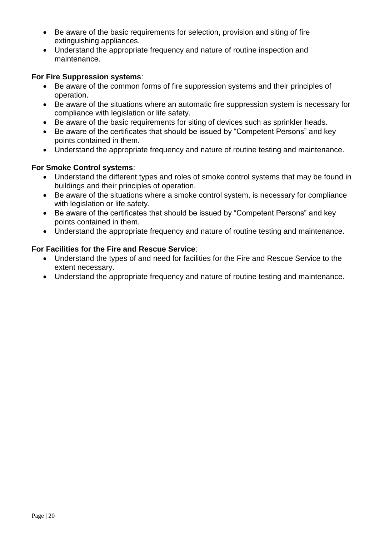- Be aware of the basic requirements for selection, provision and siting of fire extinguishing appliances.
- Understand the appropriate frequency and nature of routine inspection and maintenance.

#### **For Fire Suppression systems**:

- Be aware of the common forms of fire suppression systems and their principles of operation.
- Be aware of the situations where an automatic fire suppression system is necessary for compliance with legislation or life safety.
- Be aware of the basic requirements for siting of devices such as sprinkler heads.
- Be aware of the certificates that should be issued by "Competent Persons" and key points contained in them.
- Understand the appropriate frequency and nature of routine testing and maintenance.

#### **For Smoke Control systems**:

- Understand the different types and roles of smoke control systems that may be found in buildings and their principles of operation.
- Be aware of the situations where a smoke control system, is necessary for compliance with legislation or life safety.
- Be aware of the certificates that should be issued by "Competent Persons" and key points contained in them.
- Understand the appropriate frequency and nature of routine testing and maintenance.

#### **For Facilities for the Fire and Rescue Service**:

- Understand the types of and need for facilities for the Fire and Rescue Service to the extent necessary.
- Understand the appropriate frequency and nature of routine testing and maintenance.